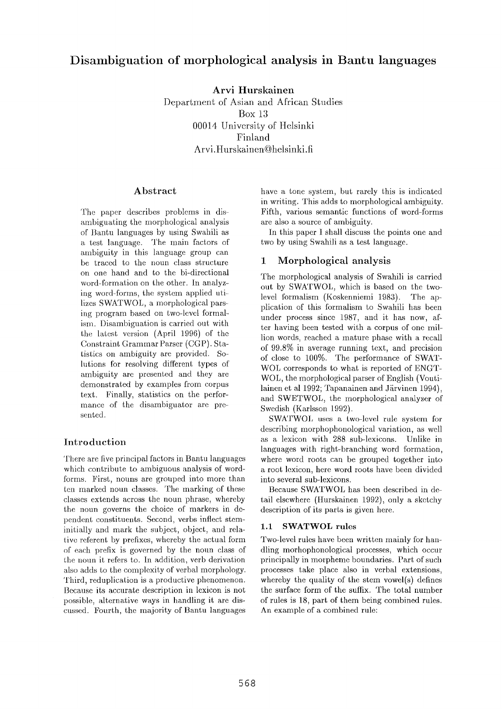# **Disambiguation of morphological analysis in Bantu languages**

**Arvi Hurskainen** 

Department of Asian and African Studies Box 13 00014 University of Helsinki Finland Arvi.Hurskainen@helsinki.fi

#### Abstract

The paper describes problems in disambiguating the morphological analysis of Bantu languages by using Swahili as a test language. The main factors of ambiguity in this language group can be traced to the noun class structure on one hand and to the bi-directional word-formation on the other. In analyzing word-forms, the system applied utilizes SWATWOL, a morphological parsing program based on two-level formalism. Disambiguation is carried out with the latest version (April 1996) of the Constraint Grammar Parser (GGP). Statistics on ambiguity are provided. Solutions for resolving different types of ambiguity are presented and they are demonstrated by examples from corpus text. Finally, statistics on the performance of the disambiguator are presented.

### Introduction

There are five principal factors in Bantu languages which contribute to ambiguous analysis of wordforms. First, nouns are grouped into more than ten marked noun classes. The marking of these classes extends across the noun phrase, whereby the noun governs the choice of markers in dependent constituents. Second, verbs inflect steminitially and mark the subject, object, and relative referent by prefixes, whereby the actual form of each prefix is governed by the noun class of the noun it refers to. In addition, verb derivation also adds to the complexity of verbal morphology. Third, reduplication is a productive phenomenon. Because its accurate description in lexicon is not possible, alternative ways in handling it are discussed. Fourth, the majority of Bantu languages have a tone system, but rarely this is indicated in writing. This adds to morphological ambiguity. Fifth, various semantic functions of word-forms are also a source of ambiguity.

In this paper I shall discuss the points one and two by using Swahili as a test language.

## 1 Morphological **analysis**

The morphological analysis of Swahili is carried out by SWATWOL, which is based on the twolevel formalism (Koskenniemi 1983). The application of this formalism to Swahili has been under process since 1987, and it has now, after having been tested with a corpus of one million words, reached a mature phase with a recall of 99.8% in average running text, and precision of close to 100%. The performance of SWAT-WOL corresponds to what is reported of ENGT-WOL, the morphological parser of English (Voutilainen et al 1992; Tapanainen and Järvinen 1994), and SWETWOL, the morphological analyzer of Swedish (Karlsson 1992).

SWATWOL uses a two-level rule system for describing morphophonological variation, as well as a lexicon with 288 sub-lexicons. Unlike in languages with right-branching word formation, where word roots can be grouped together into a root lexicon, here word roots have been divided into several sub-lexicons.

Because SWATWOL has been described in detail elsewhere (Hurskainen 1992), only a sketchy description of its parts is given here.

### 1.1 SWATWOL **rules**

Two-level rules have been written mainly for handling morhophonological processes, which occur principally in morpheme boundaries. Part of such processes take place also in verbal extensions, whereby the quality of the stem vowel(s) defines the surface form of the suffix. The total number of rules is 18, part of them being combined rules. An example of a combined rule: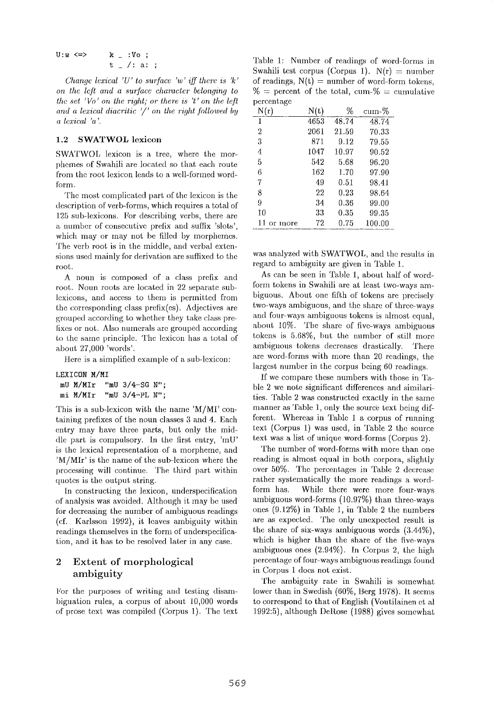$$
U:w \iff k = :V_0 ;
$$
  

$$
t = \sqrt{:}a: ;
$$

*Chanqe lexical 'U' to surface 'w' iff there is 'k' on the lcft and a surface character belonging to the set 'Vo' on the right; or there is 't' on the left and a lexical diacritic '/' on the right followed by a lexical 'a '.* 

#### 1.2 SWATWOL lexicon

SWATWOL lexicon is at tree, where the morphemes of Swahili are located so that each route from the root lexicon leads to a well-formed wordform.

The most complicated part of the lexicon is the description of verb-forms, which requires a total of 125 sub-lexicons. For describing verbs, there are a number of consecutive prefix and suffix 'slots', which may or may not be filled by morphemes. The verb root is in the middle, and verbal extensions used mainly for derivation are suffixed to the root.

A noun is composed of a class prefix and root. Noun roots are located in 22 separate sublexicons, and access to them is permitted from the corresponding class prefix(es). Adjectives are grouped according to whether they take class prefixes or not. Also numerals are grouped according to the same principle. The lexicon has a total of about 27,000 'words'.

Here is a simplified example of a sab-lexicon:

#### **LEXICON M/MI**

| mU M/MIr | "mU 3/4-SG N";    |  |
|----------|-------------------|--|
| mi M/MIr | "mU $3/4$ -PL N"; |  |

This is a sub-lexicon with the name 'M/MI' containing prefixes of the noun classes 3 and 4. Each entry may have three parts, but only the middle part is compulsory. In the first entry, 'mU' is the lexical representation of a morpheme, and 'M/MIr' is the name of the sub-lexicon where the processing will continue. The third part within quotes is the output string.

In constructing the lexicon, underspecification of analysis was avoided. Although it may be used for decreasing the number of ambiguous readings (of. Karlsson 1992), it leaves ambiguity within readings themselves in the form of underspecifica tion, and it has to be resolved later in any case.

#### 2 Extent of morphological ambiguity

For the purposes of writing and testing disambiguation rules, a corpus of about 10,000 words of prose text was compiled (Corpus 1). The text

Table 1: Number of readings of word-forms in Swahili test corpus (Corpus 1).  $N(r) =$  number of readings,  $N(t) =$  number of word-form tokens,  $\%$  = percent of the total, cum- $\%$  = cumulative percentage

| N(r)          | N(t) | %        | cum-%  |
|---------------|------|----------|--------|
| 1             | 4653 | 48.74    | 48.74  |
| 2             | 2061 | 21.59    | 70.33  |
| 3             | 871  | 9.12     | 79.55  |
| 4             | 1047 | 10.97    | 90.52  |
| 5             | 542  | 5.68     | 96.20  |
| 6             | 162  | 1.70     | 97.90  |
| 7             | 49   | 0.51     | 98.41  |
| 8             | 22   | 0.23     | 98.64  |
| 9             | 34   | 0.36     | 99.00  |
| 10            | 33   | 0.35     | 99.35  |
| 11<br>or more | 72   | $0.75\,$ | 100.00 |

was analyzed with SWATWOL, and the results in regard to ambiguity are given in Table 1.

As can be seen in Table 1, about half of wordform tokens in Swahili are at least two-ways ambiguous. About one fifth of tokens are precisely two-ways ambiguous, and the share of three-ways and four-ways ambiguous tokens is almost equal, about 10%. The share of five-ways ambiguous tokens is 5.68%, but the number of still more ambiguous tokens decreases drastically. There are word-forms with more than 20 readings, the largest number in the corpus being 60 readings.

If we compare these numbers with those in Table 2 we note significant differences and similarities. Table 2 was constructed exactly in the same manner as Table 1, only the source text being different. Whereas in Table 1 a corpus of running text (Corpus 1) was used, in Table 2 the source text was a list of unique word-forms (Corpus 2).

The number of word-forms with more than one reading is almost equal in both corpora, slightly over 50%. The percentages in Table 2 decrease rather systematically the more readings a wordform has. While there were more four-ways ambiguous word-forms (10.97%) than three-ways ones (9.12%) in Table 1, in Table 2 the numbers are as expected. The only unexpected result is the share of six-ways ambiguous words (3.44%), which is higher than the share of the five-ways ambiguous ones (2.94%). In Corpus 2, the high percentage of four-ways ambiguous readings found in Corpus 1 does not exist.

The ambiguity rate in Swahili is somewhat lower than in Swedish (60%, Berg 1978). It seems to correspond to that of English (Voutilainen ct al 1992:5), although DeRose  $(1988)$  gives somewhat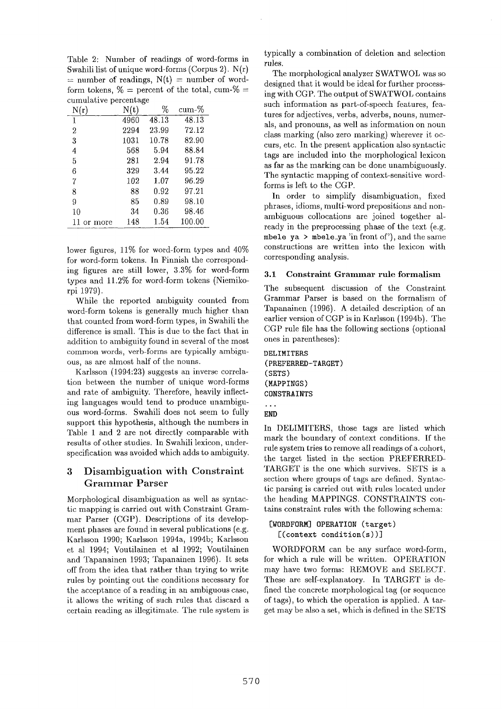Table 2: Number of readings of word-forms in Swahili list of unique word-forms (Corpus 2). N(r)  $=$  number of readings,  $N(t) =$  number of wordform tokens,  $\%$  = percent of the total, cum- $\%$  = cumulative percentage

| N(r)    | N(t) | %          | cum-%  |
|---------|------|------------|--------|
| 1       | 4960 | 48.13      | 48.13  |
| 2       | 2294 | 23.99      | 72.12  |
| 3       | 1031 | 10.78      | 82.90  |
| 4       | 568  | 5.94       | 88.84  |
| 5       | 281  | 2.94       | 91.78  |
| 6       | 329  | 3.44       | 95.22  |
| 7       | 102  | 1.07       | 96.29  |
| 8       | 88   | 0.92       | 97.21  |
| 9       | 85   | 0.89       | 98.10  |
| 10      | 34   | $\rm 0.36$ | 98.46  |
| or more | 148  | 1.54       | 100.00 |

lower figures, 11% for word-form types and 40% for word-form tokens. In Finnish the corresponding figures are still lower, 3.3% for word-form types and 11.2% for word-form tokens (Niemikorpi 1979).

While the reported ambiguity counted from word-form tokens is generally much higher than that counted from word-form types, in Swahili the difference is small. This is due to the fact that in addition to ambiguity found in several of the most common words, verb-forms are typically ambiguous, as are almost half of the nouns.

Karlsson (1994:23) suggests an inverse correlation between the number of unique word-forms and rate of ambiguity. Therefore, heavily inflecting languages would tend to produce unambiguous word-forms. Swahili does not seem to fully support this hypothesis, although the numbers in Table 1 and 2 are not directly comparable with results of other studies. In Swahili lexicon, underspecification was avoided which adds to ambiguity.

## **3 Disambiguation** with Constraint Grammar **Parser**

Morphological disambiguation as well as syntactic mapping is carried out with Constraint Grammar Parser (CGP). Descriptions of its development phases are found in several publications (e.g. Karlsson 1990; Karlsson 1994a, 1994b; Karlsson et al 1994; Voutilainen et al 1992; Voutilainen and Tapanainen 1993; Tapanainen 1996). It sets off from the idea that rather than trying to write rules by pointing out the conditions necessary for the acceptance of a reading in an ambiguous case, it allows the writing of such rules that discard a certain reading as illegitimate. The rule system is

typically a combination of deletion and selection rules.

The morphological analyzer SWATWOL was so designed that it would be ideal for further processing with CGP. The output of SWATWOL contains such information as part-of-speech features, features for adjectives, verbs, adverbs, nouns, numerals, and pronouns, as well as information on noun class marking (also zero marking) wherever it occurs, etc. In the present application also syntactic tags are included into the morphological lexicon as far as the marking can be done unambiguously. The syntactic mapping of context-sensitive wordforms is left to the CGP.

In order to simplify disambiguation, fixed phrases, idioms, multi-word prepositions and nonambiguous collocations are joined together already in the preprocessing phase of the text (e.g. mbele ya > mbele\_ya 'in front of'), and the same constructions are written into the lexicon with corresponding analysis.

#### 3.1 Constraint Grammar rule formalism

The subsequent discussion of the Constraint Grammar Parser is based on the formalism of Tapanainen (1996). A detailed description of an earlier version of CGP is in Karlsson (1994b). The CGP rule file has the following sections (optional ones in parentheses):

**DELIMITERS (PREFERRED-TARGET) (SETS) (MAPPINGS) CONSTRAINTS** 

#### **END**

In DELIMITERS, those tags are listed which mark the boundary of context conditions. If the rule system tries to remove all readings of a cohort, the target listed in the section PREFERRED-TARGET is the one which survives. SETS is a section where groups of tags are defined. Syntactic parsing is carried out with rules located under the heading MAPPINGS. CONSTRAINTS contains constraint rules with the following schema:

### **[WORDFORM] OPERATION (target)**  [(context condition(s) )]

WORDFORM can be any surface word-form, for which a rule will be written. OPERATION may have two forms: REMOVE and SELECT. These are self-explanatory. In TARGET is defined the concrete morphological tag (or sequence of tags), to which the operation is applied. A target may be also a set, which is defined in the SETS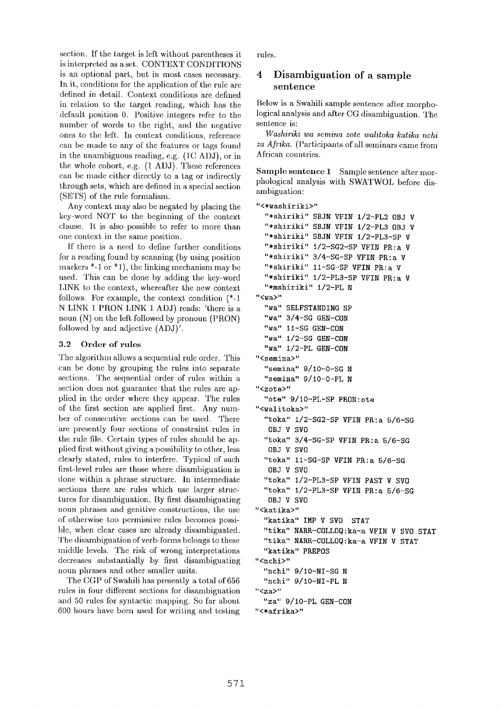section. If the target is left without parentheses it is interpreted as a set. CONTEXT CONDITIONS is an optional part, but in most cases necessary. In it, conditions for the application of the rule are defined in detail. Context conditions are defined in relation to the target reading, which has the default position 0. Positive integers refer to the number of words to the right, and the negative ones to the left. In context conditions, reference can be made to any of the features or tags found in the unambiguous reading, e.g. (1C ADJ), or in the whole cohort, e.g. (1 ADJ). These references can be made either directly to a tag or indirectly through sets, which are defined in a special section (SETS) of the rule formalism.

Any context may also be negated by placing the key-word NOT to the beginning of the context clause. It is also possible to refer to more than one context in the same position.

If there is a need to define further conditions for a reading found by scanning (by using position markers  $*$ -1 or  $*$ 1), the linking mechanism may be used. This can be done by adding the key-word LINK to the context, whereafter the new context follows. For example, the context condition (\*-1 N LINK 1 PRON LINK 1 ADJ) reads: 'there is a noun  $(N)$  on the left followed by pronoun  $(PRON)$ followed by and adjective (ADJ)'.

#### 3.2 Order of rules

The algorithm allows a sequential rule order. This can be done by grouping the rules into separate sections. The sequential order of rules within a section does not guarantee that the rules are applied in the order where they appear. The rules of the first section are applied first. Any number of consecutive sections can be used. There are presently four sections of constraint rules in the rule file. Certain types of rules should be applied first, without giving a possibility to other, less clearly stated, rules to interfere. Typical of such first-level rules are those where disambiguation is done within a phrase structure. In intermediate sections there are rules which use larger structures for disambiguation. By first disambiguating noun phrases and genitive constructions, the use of otherwise too permissive rules becomes possible, when clear cases are already disambiguated. The disambiguation of verb-forms belongs to these middle levels. The risk of wrong interpretations decreases substantially by first disambiguating noun phrases and other smaller units.

The CGP of Swahili has presently a total of 656 rules in four different sections for disambiguation and 50 rules for syntactic mapping. So far about 600 hours have been used for writing and testing rnles.

### **4 Disambiguation of a sample**  sentence

Below is a Swahili sample sentence after morphological analysis and after CG disambiguation. The sentence **is:** 

*Washiriki wa semina zote walitoka katika nchi za Afrika.* (Participants of all seminars came from African countries.

Sample sentence 1 Sample sentence after morphological analysis with SWATWOL before disambiguation:

```
"<*washiriki>" 
  "*shiriki" SBJN VFIN I/2-PL2 GBJ V 
  "*shiriki" SBJN VFIN I/2-PL3 GBJ V 
  "*shiriki" SBJN VFIN I/2-PL3-SP V 
  "*shiriki" I/2-SG2-SP VFIN PR:a V 
  "*shiriki" 3/4-SG-SP VFIN PR:a V 
  "*shiriki" II-SG-SP VFIN PR:a V 
  "*shiriki" I/2-PL3-SP VFIN PR:a V 
  "*mshiriki" I/2-PL N 
"<Wa>" 
  "wa" SELFSTANDING SP 
  "wa" 3/4-SG GEN-CON 
  "wa" II-SG GEN-CON 
  "wa" I/2-SG GEN-CON 
  "wa" I/2-PL GEN-CON 
"<semina>"
  "semina" 9/IO-O-SG N 
  "semina" 9/IO-O-PL N 
"<zote>" 
  "ore" 9/IO-PL-SP PRON:ote 
"<walitoka>" 
  "toka" 1/2-SG2-SP VFIN PR:a 5/6-SG
   OBJ V SVO 
  "toka" 3/4-SG-SP VFIN PR:a 5/6-SG 
   OBJ V SVO 
  "toka" II-SG-SP VFIN PR:a 5/6-SG 
   OBJ V SVO 
  "toka" 1/2-PL3-SP VFIN PAST V SVO
  "toka" I/2-PL3-SP VFIN PR:a 5/6-SG 
   OBJ V SVO 
"<katika>"
  "katika" IMP V SVO STAT
  "tika" NARR-COLLOQ:ka-a VFIN V SVG STAT 
  "tika" NARR-COLLGQ:ka-a VFIN V STAT 
  "kat ika" PREPOS 
"<nchi>" 
  "nchi" 9/IO-NI-SG N 
  "nchi" 9/IO-NI-PL N 
"<za>" 
  "za" 9/IO-PL GEN-CON 
"<*afrika>"
```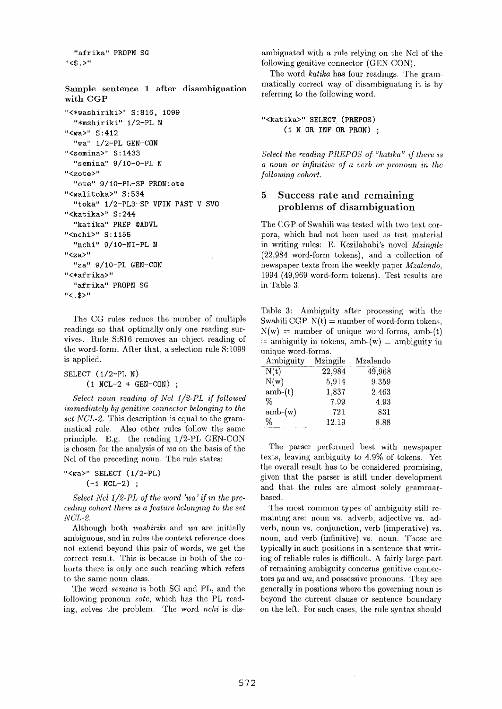"afrika" PROPN SG  $"$  < \$ . >"

Sample sentence 1 after disambiguation with CGP "<\*washiriki>" S:816, 1099

```
"*mshiriki" I/2-PL N 
"<wa>" S:412 
  "wa" 1/2-PL GEN-CON
"<semina>" S:1433 
  "semina" 9/IO-O-PL N 
"<zote>" 
  "ore" 9/iO-PL-SP PRON:ote 
"<walitoka>" S:534
  "toka" I/2-PL3-SP VFIN PAST V SVO 
"<katika>" S:244
  "katika" PREP @ADVL
"<nchi>" S:1155 
  "nchi" 9/iO-NI-PL N 
"<za>" 
  "za" 9/IO-PL GEN-CON 
"<*afrika>" 
  "afrika" PKOPN SG 
"<.$>"
```
The CG rules reduce the number of multiple readings so that optimally only one reading survives. Rule S:816 removes an object reading of the word-form. After that, a selection rule S:1099 is applied.

SELECT (I/2-PL N) **(i NCL-2 + GEN-CON) ;** 

*Select noun reading of Ncl 1/2-PL if followed immediately by genitive connector belonging to the set NCL-2.* This description is equal to the grammatical rule. Also other rules follow the same principle. E.g. the reading 1/2-PL GEN-CON is chosen for the analysis of *wa* on the basis of the Ncl of the preceding noun. The rule states:

```
"<wa>" SELECT (1/2-PL)
      (-1 \text{ NCL}-2);
```
*Select Ncl 1/2-PL of the word 'wa' if in the preceding cohort there is a feature belonging to the set NCL-2.* 

Although both *washiriki* and *wa* are initially ambiguous, and in rules the context reference does not extend beyond this pair of words, we get the correct result. This is because in both of the cohorts there is only one such reading which refers to the same noun class.

The word *semina* is both SG and PL, and the following pronoun *zote,* which has the PL reading, solves the problem. The word *nchi* is disambiguated with a rule relying on the Ncl of the following genitive connector (GEN-CON).

The word *katika* has four readings. The grammatically correct way of disambiguating it is by referring to the following word.

```
"<katika>" SELECT (PREPOS) 
     (I N OR INF OR PRON)
```
*Select the reading PREPOS of "katika" if there is a noun or infinitive of a verb or pronoun in the following cohort.* 

## 5 Success rate and remaining problems of disambiguation

The CGP of Swahili was tested with two text corpora, which had not been used as test material in writing rules: E. Kezilahabi's novel *Mzingile*  (22,984 word-form tokens), and a collection of newspaper texts from the weekly paper *Mzalendo,*  1994 (49,969 word-form tokens). Test results are in Table 3.

Table 3: Ambiguity after processing with the Swahili CGP.  $N(t) =$  number of word-form tokens,  $N(w)$  = number of unique word-forms, amb-(t)  $=$  ambiguity in tokens, amb-(w)  $=$  ambiguity in unique word-forms.

| Ambiguity | Mzingile | Mzalendo |
|-----------|----------|----------|
| N(t)      | 22,984   | 49,968   |
| N(w)      | 5,914    | 9,359    |
| $amb-(t)$ | 1,837    | 2,463    |
| %         | 7.99     | 4.93     |
| $amb-(w)$ | 721      | 831      |
| %         | 12.19    | 8.88     |

The parser performed best with newspaper texts, leaving ambiguity to 4.9% of tokens. Yet the overall result has to be considered promising, given that the parser is still under development and that the rules are almost solely grammarbased.

The most common types of ambiguity still remaining are: noun vs. adverb, adjective vs. adverb, noun vs. conjunction, verb (imperative) vs. noun, and verb (infinitive) vs. noun. Those are typically in such positions in a sentence that writing of reliable rules is difficult. A fairly large part of remaining ambiguity concerns genitive connectors *ya* and *wa,* and possessive pronouns. They are generally in positions where the governing noun is beyond the current clause or sentence boundary on the left. For such cases, the rule syntax should